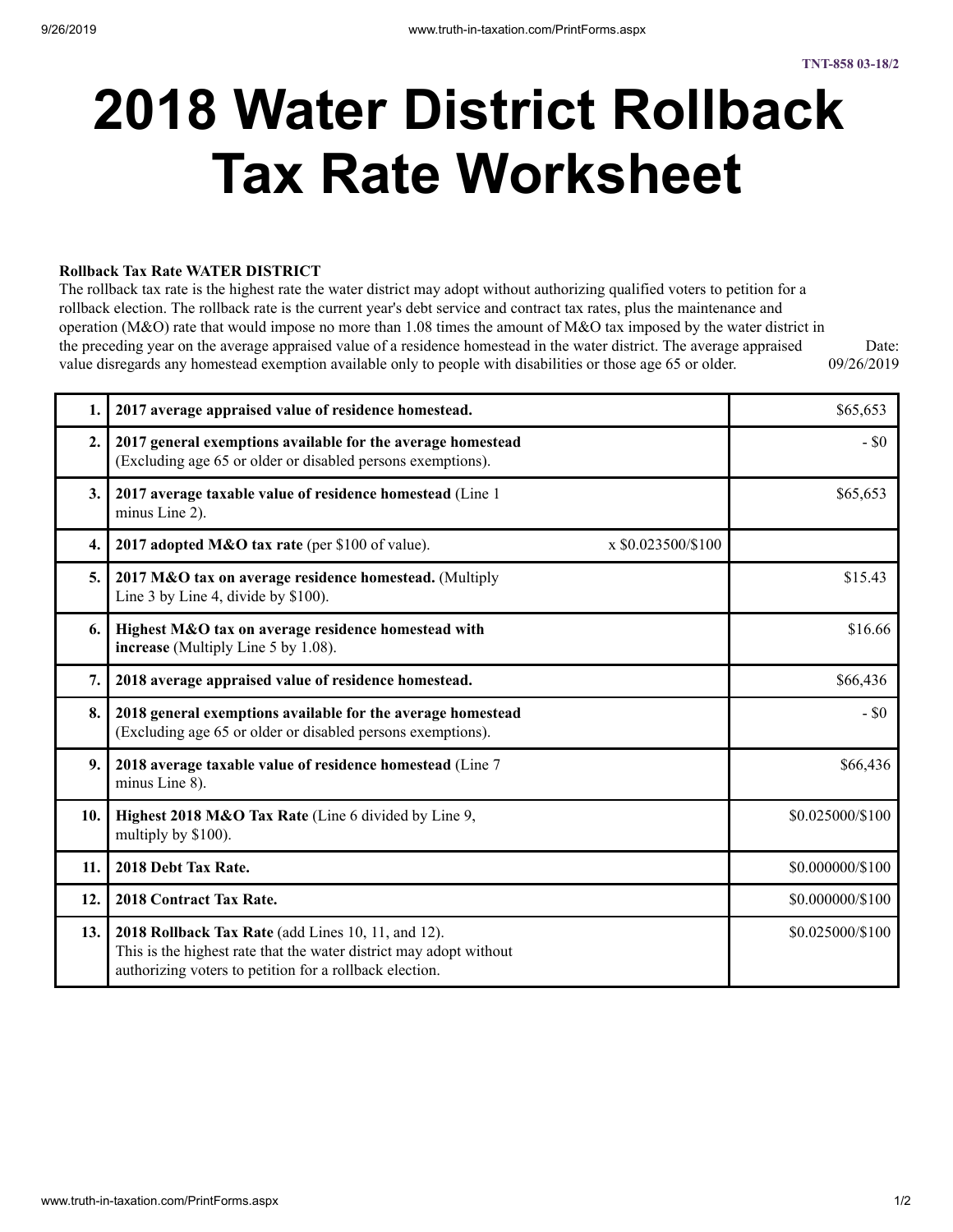# **2018 Water District Rollback Tax Rate Worksheet**

#### **Rollback Tax Rate WATER DISTRICT**

The rollback tax rate is the highest rate the water district may adopt without authorizing qualified voters to petition for a rollback election. The rollback rate is the current year's debt service and contract tax rates, plus the maintenance and operation (M&O) rate that would impose no more than 1.08 times the amount of M&O tax imposed by the water district in the preceding year on the average appraised value of a residence homestead in the water district. The average appraised value disregards any homestead exemption available only to people with disabilities or those age 65 or older. Date: 09/26/2019

| 1.               | 2017 average appraised value of residence homestead.                                                                                                                                | \$65,653         |
|------------------|-------------------------------------------------------------------------------------------------------------------------------------------------------------------------------------|------------------|
| $\overline{2}$ . | 2017 general exemptions available for the average homestead<br>(Excluding age 65 or older or disabled persons exemptions).                                                          | $-$ \$0          |
| 3.               | 2017 average taxable value of residence homestead (Line 1<br>minus Line 2).                                                                                                         | \$65,653         |
| $\overline{4}$ . | 2017 adopted M&O tax rate (per \$100 of value).<br>$\bar{x}$ \$0.023500/\$100                                                                                                       |                  |
| 5.               | 2017 M&O tax on average residence homestead. (Multiply<br>Line 3 by Line 4, divide by \$100).                                                                                       | \$15.43          |
| 6.               | Highest M&O tax on average residence homestead with<br>increase (Multiply Line 5 by 1.08).                                                                                          | \$16.66          |
| 7.               | 2018 average appraised value of residence homestead.                                                                                                                                | \$66,436         |
| 8.               | 2018 general exemptions available for the average homestead<br>(Excluding age 65 or older or disabled persons exemptions).                                                          | $-$ \$0          |
| 9.               | 2018 average taxable value of residence homestead (Line 7<br>minus Line 8).                                                                                                         | \$66,436         |
| 10.              | Highest 2018 M&O Tax Rate (Line 6 divided by Line 9,<br>multiply by \$100).                                                                                                         | \$0.025000/\$100 |
| 11.              | 2018 Debt Tax Rate.                                                                                                                                                                 | \$0.000000/\$100 |
| 12.              | 2018 Contract Tax Rate.                                                                                                                                                             | \$0.000000/\$100 |
| 13.              | 2018 Rollback Tax Rate (add Lines 10, 11, and 12).<br>This is the highest rate that the water district may adopt without<br>authorizing voters to petition for a rollback election. | \$0.025000/\$100 |